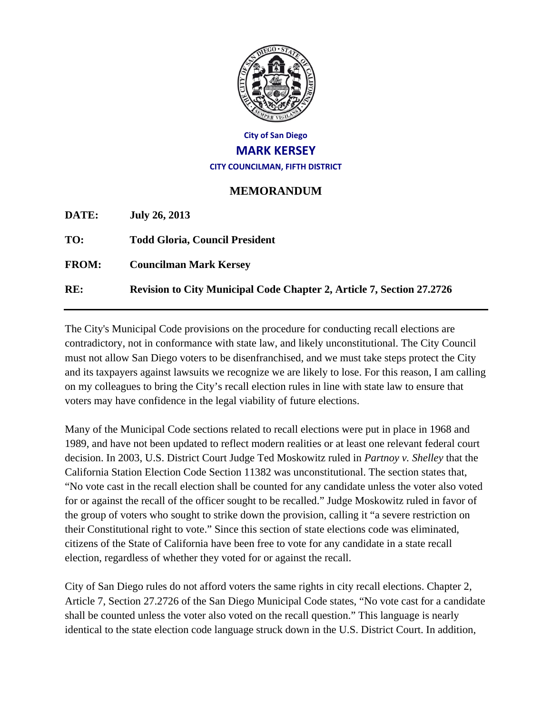

## **City of San Diego MARK KERSEY CITY COUNCILMAN, FIFTH DISTRICT**

## **MEMORANDUM**

**DATE: July 26, 2013 TO: Todd Gloria, Council President FROM: Councilman Mark Kersey RE: Revision to City Municipal Code Chapter 2, Article 7, Section 27.2726** 

The City's Municipal Code provisions on the procedure for conducting recall elections are contradictory, not in conformance with state law, and likely unconstitutional. The City Council must not allow San Diego voters to be disenfranchised, and we must take steps protect the City and its taxpayers against lawsuits we recognize we are likely to lose. For this reason, I am calling on my colleagues to bring the City's recall election rules in line with state law to ensure that voters may have confidence in the legal viability of future elections.

Many of the Municipal Code sections related to recall elections were put in place in 1968 and 1989, and have not been updated to reflect modern realities or at least one relevant federal court decision. In 2003, U.S. District Court Judge Ted Moskowitz ruled in *Partnoy v. Shelley* that the California Station Election Code Section 11382 was unconstitutional. The section states that, "No vote cast in the recall election shall be counted for any candidate unless the voter also voted for or against the recall of the officer sought to be recalled." Judge Moskowitz ruled in favor of the group of voters who sought to strike down the provision, calling it "a severe restriction on their Constitutional right to vote." Since this section of state elections code was eliminated, citizens of the State of California have been free to vote for any candidate in a state recall election, regardless of whether they voted for or against the recall.

City of San Diego rules do not afford voters the same rights in city recall elections. Chapter 2, Article 7, Section 27.2726 of the San Diego Municipal Code states, "No vote cast for a candidate shall be counted unless the voter also voted on the recall question." This language is nearly identical to the state election code language struck down in the U.S. District Court. In addition,